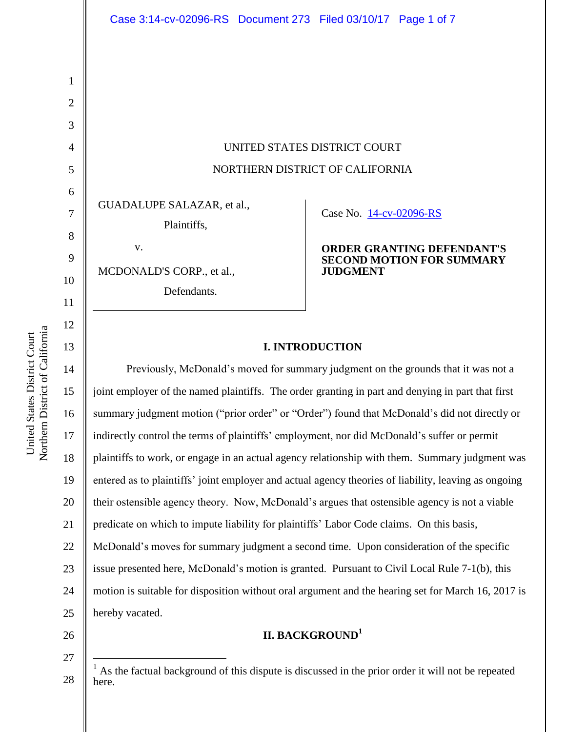UNITED STATES DISTRICT COURT NORTHERN DISTRICT OF CALIFORNIA

GUADALUPE SALAZAR, et al.,

Plaintiffs,

MCDONALD'S CORP., et al.,

v.

Defendants.

Case No. [14-cv-02096-RS](https://ecf.cand.uscourts.gov/cgi-bin/DktRpt.pl?277170) 

### **ORDER GRANTING DEFENDANT'S SECOND MOTION FOR SUMMARY JUDGMENT**

## **I. INTRODUCTION**

14 15 16 17 18 19 20 21 22 23 24 25 Previously, McDonald's moved for summary judgment on the grounds that it was not a joint employer of the named plaintiffs. The order granting in part and denying in part that first summary judgment motion ("prior order" or "Order") found that McDonald's did not directly or indirectly control the terms of plaintiffs' employment, nor did McDonald's suffer or permit plaintiffs to work, or engage in an actual agency relationship with them. Summary judgment was entered as to plaintiffs' joint employer and actual agency theories of liability, leaving as ongoing their ostensible agency theory. Now, McDonald's argues that ostensible agency is not a viable predicate on which to impute liability for plaintiffs' Labor Code claims. On this basis, McDonald's moves for summary judgment a second time. Upon consideration of the specific issue presented here, McDonald's motion is granted. Pursuant to Civil Local Rule 7-1(b), this motion is suitable for disposition without oral argument and the hearing set for March 16, 2017 is hereby vacated.

# **II. BACKGROUND<sup>1</sup>**

Northern District of California Northern District of California United States District Court United States District Court

1

2

3

4

5

6

7

8

9

10

11

12

13

26

27

 $\overline{a}$ 

<sup>28</sup>  $<sup>1</sup>$  As the factual background of this dispute is discussed in the prior order it will not be repeated</sup> here.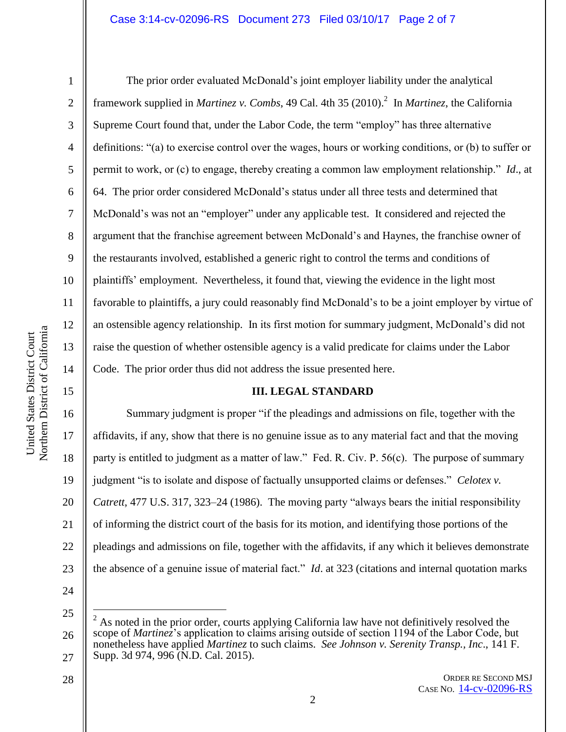## Case 3:14-cv-02096-RS Document 273 Filed 03/10/17 Page 2 of 7

1

2

3

4

5

6

7

8

9

10

11

12

13

14

15

The prior order evaluated McDonald's joint employer liability under the analytical framework supplied in *Martinez v. Combs*, 49 Cal. 4th 35 (2010). 2 In *Martinez*, the California Supreme Court found that, under the Labor Code, the term "employ" has three alternative definitions: "(a) to exercise control over the wages, hours or working conditions, or (b) to suffer or permit to work, or (c) to engage, thereby creating a common law employment relationship." *Id*., at 64. The prior order considered McDonald's status under all three tests and determined that McDonald's was not an "employer" under any applicable test. It considered and rejected the argument that the franchise agreement between McDonald's and Haynes, the franchise owner of the restaurants involved, established a generic right to control the terms and conditions of plaintiffs' employment. Nevertheless, it found that, viewing the evidence in the light most favorable to plaintiffs, a jury could reasonably find McDonald's to be a joint employer by virtue of an ostensible agency relationship. In its first motion for summary judgment, McDonald's did not raise the question of whether ostensible agency is a valid predicate for claims under the Labor Code. The prior order thus did not address the issue presented here.

#### **III. LEGAL STANDARD**

16 17 18 19 20 21 22 23 Summary judgment is proper "if the pleadings and admissions on file, together with the affidavits, if any, show that there is no genuine issue as to any material fact and that the moving party is entitled to judgment as a matter of law." Fed. R. Civ. P. 56(c). The purpose of summary judgment "is to isolate and dispose of factually unsupported claims or defenses." *Celotex v. Catrett*, 477 U.S. 317, 323–24 (1986). The moving party "always bears the initial responsibility of informing the district court of the basis for its motion, and identifying those portions of the pleadings and admissions on file, together with the affidavits, if any which it believes demonstrate the absence of a genuine issue of material fact." *Id*. at 323 (citations and internal quotation marks

24

25

 $\overline{a}$ 

28

ORDER RE SECOND MSJ CASE NO. [14-cv-02096-RS](https://ecf.cand.uscourts.gov/cgi-bin/DktRpt.pl?277170)

<sup>26</sup> 27  $2$  As noted in the prior order, courts applying California law have not definitively resolved the scope of *Martinez*'s application to claims arising outside of section 1194 of the Labor Code, but nonetheless have applied *Martinez* to such claims. *See Johnson v. Serenity Transp., Inc*., 141 F. Supp. 3d 974, 996 (N.D. Cal. 2015).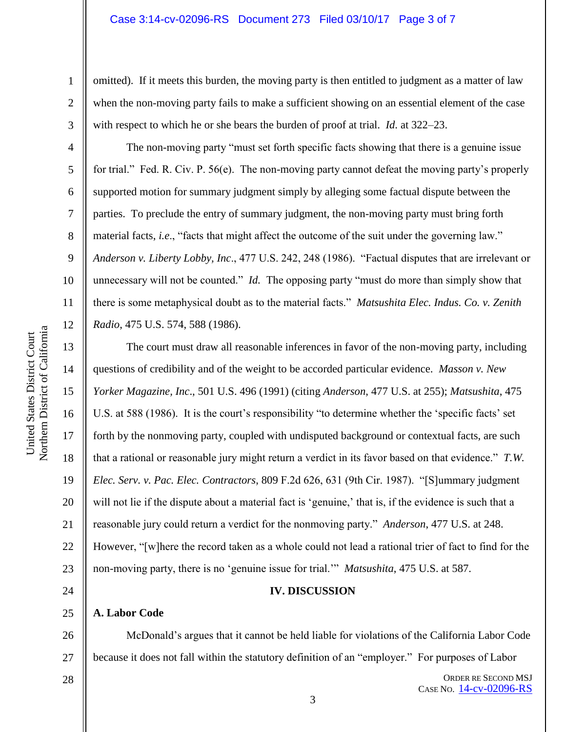omitted). If it meets this burden, the moving party is then entitled to judgment as a matter of law when the non-moving party fails to make a sufficient showing on an essential element of the case with respect to which he or she bears the burden of proof at trial. *Id*. at 322–23.

The non-moving party "must set forth specific facts showing that there is a genuine issue for trial." Fed. R. Civ. P. 56(e). The non-moving party cannot defeat the moving party's properly supported motion for summary judgment simply by alleging some factual dispute between the parties. To preclude the entry of summary judgment, the non-moving party must bring forth material facts, *i.e*., "facts that might affect the outcome of the suit under the governing law." *Anderson v. Liberty Lobby, Inc*., 477 U.S. 242, 248 (1986). "Factual disputes that are irrelevant or unnecessary will not be counted." *Id.* The opposing party "must do more than simply show that there is some metaphysical doubt as to the material facts." *Matsushita Elec. Indus. Co. v. Zenith Radio*, 475 U.S. 574, 588 (1986).

The court must draw all reasonable inferences in favor of the non-moving party, including questions of credibility and of the weight to be accorded particular evidence. *Masson v. New Yorker Magazine, Inc*., 501 U.S. 496 (1991) (citing *Anderson*, 477 U.S. at 255); *Matsushita*, 475 U.S. at 588 (1986). It is the court's responsibility "to determine whether the 'specific facts' set forth by the nonmoving party, coupled with undisputed background or contextual facts, are such that a rational or reasonable jury might return a verdict in its favor based on that evidence." *T.W. Elec. Serv. v. Pac. Elec. Contractors*, 809 F.2d 626, 631 (9th Cir. 1987). "[S]ummary judgment will not lie if the dispute about a material fact is 'genuine,' that is, if the evidence is such that a reasonable jury could return a verdict for the nonmoving party." *Anderson*, 477 U.S. at 248. However, "[w]here the record taken as a whole could not lead a rational trier of fact to find for the non-moving party, there is no 'genuine issue for trial.'" *Matsushita*, 475 U.S. at 587.

## **IV. DISCUSSION**

## **A. Labor Code**

26 27 McDonald's argues that it cannot be held liable for violations of the California Labor Code because it does not fall within the statutory definition of an "employer." For purposes of Labor

28

1

2

3

4

5

6

7

8

9

10

11

12

13

14

15

16

17

18

19

20

21

22

23

24

25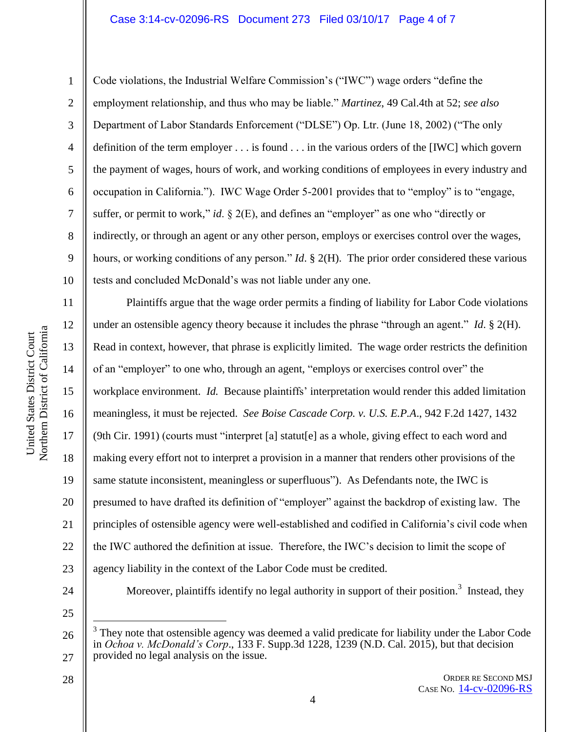## Case 3:14-cv-02096-RS Document 273 Filed 03/10/17 Page 4 of 7

Northern District of California Northern District of California United States District Court United States District Court

1 2 3 4 5 6 7 8 9 10 Code violations, the Industrial Welfare Commission's ("IWC") wage orders "define the employment relationship, and thus who may be liable." *Martinez*, 49 Cal.4th at 52; *see also* Department of Labor Standards Enforcement ("DLSE") Op. Ltr. (June 18, 2002) ("The only definition of the term employer . . . is found . . . in the various orders of the [IWC] which govern the payment of wages, hours of work, and working conditions of employees in every industry and occupation in California."). IWC Wage Order 5-2001 provides that to "employ" is to "engage, suffer, or permit to work," *id*. § 2(E), and defines an "employer" as one who "directly or indirectly, or through an agent or any other person, employs or exercises control over the wages, hours, or working conditions of any person." *Id*. § 2(H). The prior order considered these various tests and concluded McDonald's was not liable under any one.

11 12 13 14 15 16 17 18 19 20 21 22 23 24 Plaintiffs argue that the wage order permits a finding of liability for Labor Code violations under an ostensible agency theory because it includes the phrase "through an agent." *Id*. § 2(H). Read in context, however, that phrase is explicitly limited. The wage order restricts the definition of an "employer" to one who, through an agent, "employs or exercises control over" the workplace environment. *Id.* Because plaintiffs' interpretation would render this added limitation meaningless, it must be rejected. *See Boise Cascade Corp. v. U.S. E.P.A*., 942 F.2d 1427, 1432 (9th Cir. 1991) (courts must "interpret [a] statut[e] as a whole, giving effect to each word and making every effort not to interpret a provision in a manner that renders other provisions of the same statute inconsistent, meaningless or superfluous"). As Defendants note, the IWC is presumed to have drafted its definition of "employer" against the backdrop of existing law. The principles of ostensible agency were well-established and codified in California's civil code when the IWC authored the definition at issue. Therefore, the IWC's decision to limit the scope of agency liability in the context of the Labor Code must be credited. Moreover, plaintiffs identify no legal authority in support of their position.<sup>3</sup> Instead, they

25

 $\overline{a}$ 

26

27

<sup>3</sup> They note that ostensible agency was deemed a valid predicate for liability under the Labor Code in *Ochoa v. McDonald's Corp*., 133 F. Supp.3d 1228, 1239 (N.D. Cal. 2015), but that decision provided no legal analysis on the issue.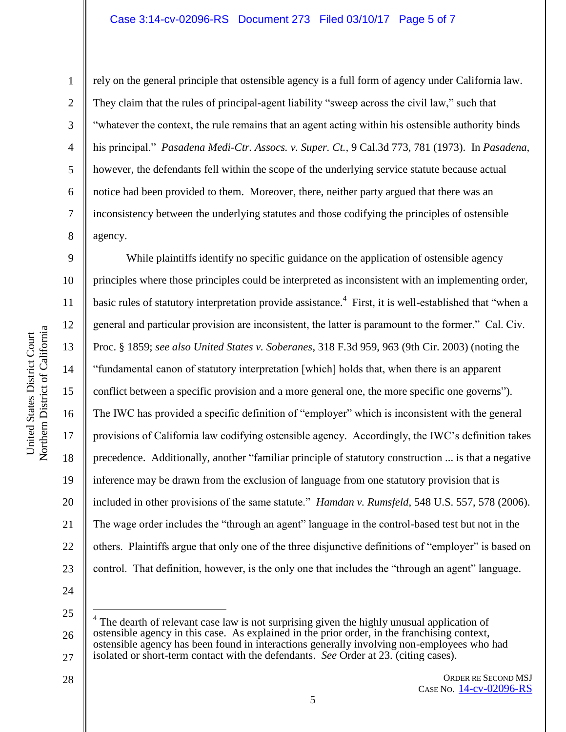1

2

3

4

5

6

7

8

rely on the general principle that ostensible agency is a full form of agency under California law. They claim that the rules of principal-agent liability "sweep across the civil law," such that "whatever the context, the rule remains that an agent acting within his ostensible authority binds his principal." *Pasadena Medi-Ctr. Assocs. v. Super. Ct.,* 9 Cal.3d 773, 781 (1973). In *Pasadena*, however, the defendants fell within the scope of the underlying service statute because actual notice had been provided to them. Moreover, there, neither party argued that there was an inconsistency between the underlying statutes and those codifying the principles of ostensible agency.

9 10 11 12 13 14 15 16 17 18 19 20 21 22 23 While plaintiffs identify no specific guidance on the application of ostensible agency principles where those principles could be interpreted as inconsistent with an implementing order, basic rules of statutory interpretation provide assistance.<sup>4</sup> First, it is well-established that "when a general and particular provision are inconsistent, the latter is paramount to the former." Cal. Civ. Proc. § 1859; *see also United States v. Soberanes*, 318 F.3d 959, 963 (9th Cir. 2003) (noting the "fundamental canon of statutory interpretation [which] holds that, when there is an apparent conflict between a specific provision and a more general one, the more specific one governs"). The IWC has provided a specific definition of "employer" which is inconsistent with the general provisions of California law codifying ostensible agency. Accordingly, the IWC's definition takes precedence. Additionally, another "familiar principle of statutory construction ... is that a negative inference may be drawn from the exclusion of language from one statutory provision that is included in other provisions of the same statute." *Hamdan v. Rumsfeld*, 548 U.S. 557, 578 (2006). The wage order includes the "through an agent" language in the control-based test but not in the others. Plaintiffs argue that only one of the three disjunctive definitions of "employer" is based on control. That definition, however, is the only one that includes the "through an agent" language.

24

 $\overline{a}$ 

28

25 26 27 4 The dearth of relevant case law is not surprising given the highly unusual application of ostensible agency in this case. As explained in the prior order, in the franchising context, ostensible agency has been found in interactions generally involving non-employees who had isolated or short-term contact with the defendants. *See* Order at 23. (citing cases).

ORDER RE SECOND MSJ CASE NO. [14-cv-02096-RS](https://ecf.cand.uscourts.gov/cgi-bin/DktRpt.pl?277170)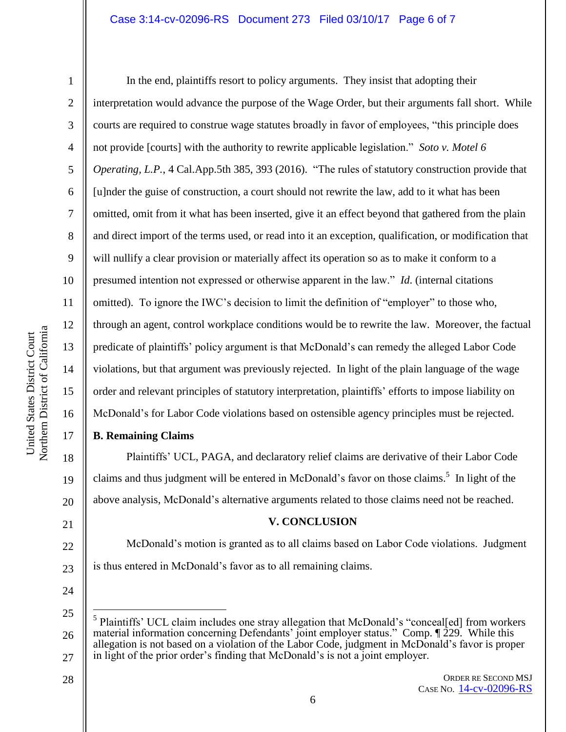## Case 3:14-cv-02096-RS Document 273 Filed 03/10/17 Page 6 of 7

17

18

19

20

21

22

23

24

 $\overline{a}$ 

28

1

2 3 4 5 6 7 8 9 10 11 12 13 14 15 16 In the end, plaintiffs resort to policy arguments. They insist that adopting their interpretation would advance the purpose of the Wage Order, but their arguments fall short. While courts are required to construe wage statutes broadly in favor of employees, "this principle does not provide [courts] with the authority to rewrite applicable legislation." *Soto v. Motel 6 Operating, L.P.*, 4 Cal.App.5th 385, 393 (2016). "The rules of statutory construction provide that [u]nder the guise of construction, a court should not rewrite the law, add to it what has been omitted, omit from it what has been inserted, give it an effect beyond that gathered from the plain and direct import of the terms used, or read into it an exception, qualification, or modification that will nullify a clear provision or materially affect its operation so as to make it conform to a presumed intention not expressed or otherwise apparent in the law." *Id*. (internal citations omitted). To ignore the IWC's decision to limit the definition of "employer" to those who, through an agent, control workplace conditions would be to rewrite the law. Moreover, the factual predicate of plaintiffs' policy argument is that McDonald's can remedy the alleged Labor Code violations, but that argument was previously rejected. In light of the plain language of the wage order and relevant principles of statutory interpretation, plaintiffs' efforts to impose liability on McDonald's for Labor Code violations based on ostensible agency principles must be rejected.

## **B. Remaining Claims**

Plaintiffs' UCL, PAGA, and declaratory relief claims are derivative of their Labor Code claims and thus judgment will be entered in McDonald's favor on those claims.<sup>5</sup> In light of the above analysis, McDonald's alternative arguments related to those claims need not be reached.

## **V. CONCLUSION**

McDonald's motion is granted as to all claims based on Labor Code violations. Judgment is thus entered in McDonald's favor as to all remaining claims.

ORDER RE SECOND MSJ CASE NO. [14-cv-02096-RS](https://ecf.cand.uscourts.gov/cgi-bin/DktRpt.pl?277170)

<sup>25</sup> 26 27 5 Plaintiffs' UCL claim includes one stray allegation that McDonald's "conceal[ed] from workers material information concerning Defendants' joint employer status." Comp. ¶ 229. While this allegation is not based on a violation of the Labor Code, judgment in McDonald's favor is proper in light of the prior order's finding that McDonald's is not a joint employer.